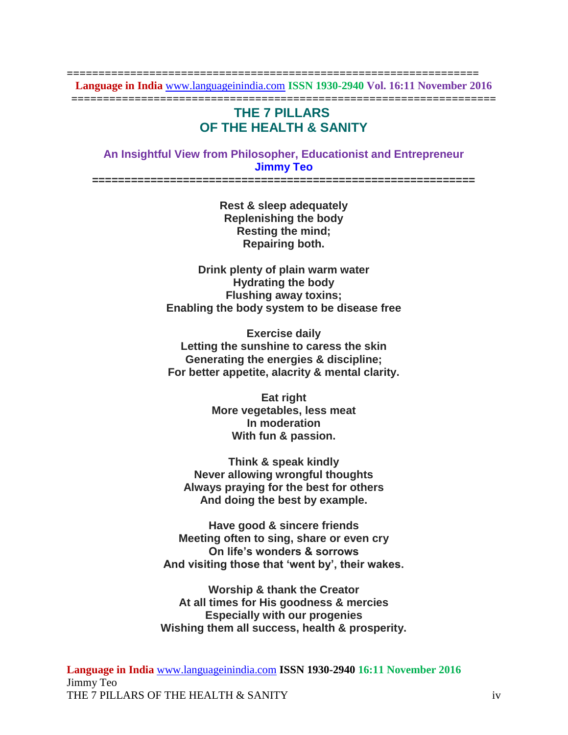**================================================================= Language in India** [www.languageinindia.com](http://www.languageinindia.com/) **ISSN 1930-2940 Vol. 16:11 November 2016 ===================================================================**

## **THE 7 PILLARS OF THE HEALTH & SANITY**

## **An Insightful View from Philosopher, Educationist and Entrepreneur Jimmy Teo**

**===========================================================**

**Rest & sleep adequately Replenishing the body Resting the mind; Repairing both.**

**Drink plenty of plain warm water Hydrating the body Flushing away toxins; Enabling the body system to be disease free**

**Exercise daily Letting the sunshine to caress the skin Generating the energies & discipline; For better appetite, alacrity & mental clarity.**

> **Eat right More vegetables, less meat In moderation With fun & passion.**

**Think & speak kindly Never allowing wrongful thoughts Always praying for the best for others And doing the best by example.**

**Have good & sincere friends Meeting often to sing, share or even cry On life's wonders & sorrows And visiting those that 'went by', their wakes.**

**Worship & thank the Creator At all times for His goodness & mercies Especially with our progenies Wishing them all success, health & prosperity.**

**Language in India** [www.languageinindia.com](http://www.languageinindia.com/) **ISSN 1930-2940 16:11 November 2016** Jimmy Teo THE 7 PILLARS OF THE HEALTH & SANITY in the state of the state of the state of the state of the state of the state of the state of the state of the state of the state of the state of the state of the state of the state of